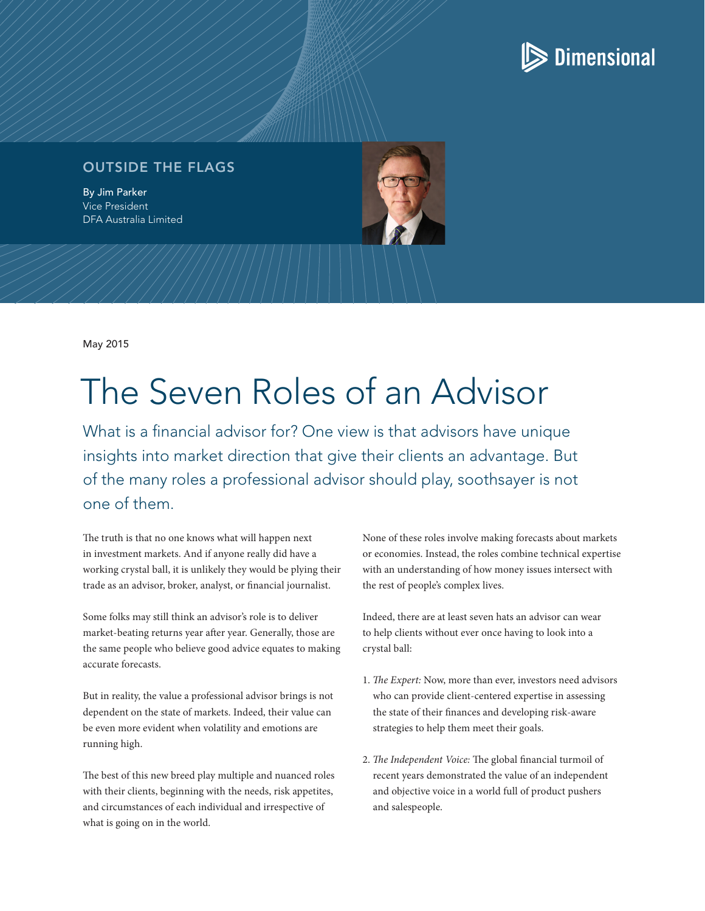## $\triangleright$  Dimensional

## OUTSIDE THE FLAGS

By Jim Parker Vice President DFA Australia Limited

May 2015

## The Seven Roles of an Advisor

What is a financial advisor for? One view is that advisors have unique insights into market direction that give their clients an advantage. But of the many roles a professional advisor should play, soothsayer is not one of them.

The truth is that no one knows what will happen next in investment markets. And if anyone really did have a working crystal ball, it is unlikely they would be plying their trade as an advisor, broker, analyst, or financial journalist.

Some folks may still think an advisor's role is to deliver market-beating returns year after year. Generally, those are the same people who believe good advice equates to making accurate forecasts.

But in reality, the value a professional advisor brings is not dependent on the state of markets. Indeed, their value can be even more evident when volatility and emotions are running high.

The best of this new breed play multiple and nuanced roles with their clients, beginning with the needs, risk appetites, and circumstances of each individual and irrespective of what is going on in the world.

None of these roles involve making forecasts about markets or economies. Instead, the roles combine technical expertise with an understanding of how money issues intersect with the rest of people's complex lives.

Indeed, there are at least seven hats an advisor can wear to help clients without ever once having to look into a crystal ball:

- 1. *The Expert:* Now, more than ever, investors need advisors who can provide client-centered expertise in assessing the state of their finances and developing risk-aware strategies to help them meet their goals.
- 2. *The Independent Voice:* The global financial turmoil of recent years demonstrated the value of an independent and objective voice in a world full of product pushers and salespeople.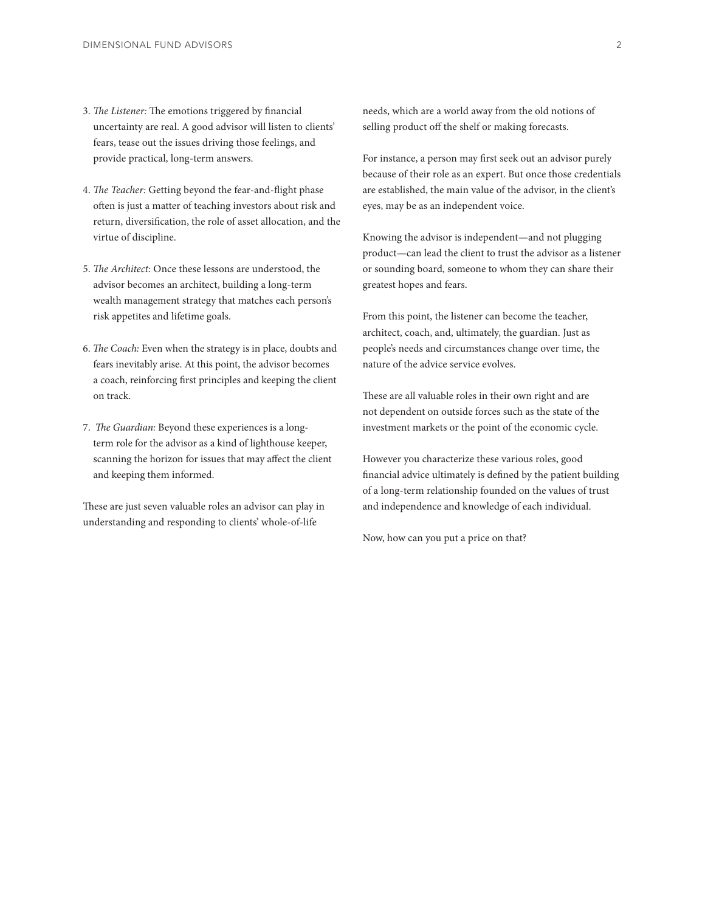- 3. *The Listener:* The emotions triggered by financial uncertainty are real. A good advisor will listen to clients' fears, tease out the issues driving those feelings, and provide practical, long-term answers.
- 4. *The Teacher:* Getting beyond the fear-and-flight phase often is just a matter of teaching investors about risk and return, diversification, the role of asset allocation, and the virtue of discipline.
- 5. *The Architect:* Once these lessons are understood, the advisor becomes an architect, building a long-term wealth management strategy that matches each person's risk appetites and lifetime goals.
- 6. *The Coach:* Even when the strategy is in place, doubts and fears inevitably arise. At this point, the advisor becomes a coach, reinforcing first principles and keeping the client on track.
- 7. *The Guardian:* Beyond these experiences is a longterm role for the advisor as a kind of lighthouse keeper, scanning the horizon for issues that may affect the client and keeping them informed.

These are just seven valuable roles an advisor can play in understanding and responding to clients' whole-of-life

needs, which are a world away from the old notions of selling product off the shelf or making forecasts.

For instance, a person may first seek out an advisor purely because of their role as an expert. But once those credentials are established, the main value of the advisor, in the client's eyes, may be as an independent voice.

Knowing the advisor is independent—and not plugging product—can lead the client to trust the advisor as a listener or sounding board, someone to whom they can share their greatest hopes and fears.

From this point, the listener can become the teacher, architect, coach, and, ultimately, the guardian. Just as people's needs and circumstances change over time, the nature of the advice service evolves.

These are all valuable roles in their own right and are not dependent on outside forces such as the state of the investment markets or the point of the economic cycle.

However you characterize these various roles, good financial advice ultimately is defined by the patient building of a long-term relationship founded on the values of trust and independence and knowledge of each individual.

Now, how can you put a price on that?